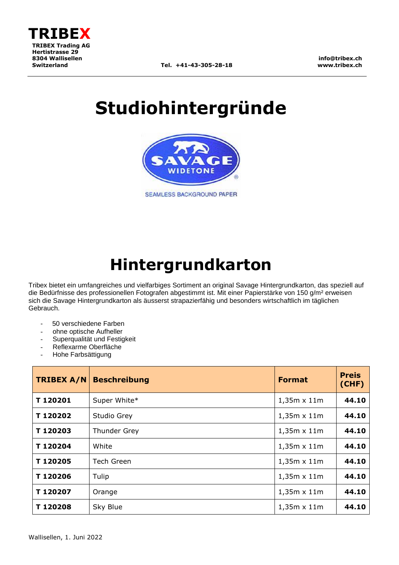

**info@tribex.ch www.tribex.ch**

# **Studiohintergründe**



SEAMLESS BACKGROUND PAPER

## **Hintergrundkarton**

Tribex bietet ein umfangreiches und vielfarbiges Sortiment an original Savage Hintergrundkarton, das speziell auf die Bedürfnisse des professionellen Fotografen abgestimmt ist. Mit einer Papierstärke von 150 g/m² erweisen sich die Savage Hintergrundkarton als äusserst strapazierfähig und besonders wirtschaftlich im täglichen Gebrauch.

- 50 verschiedene Farben
- ohne optische Aufheller
- Superqualität und Festigkeit
- Reflexarme Oberfläche
- Hohe Farbsättigung

| <b>TRIBEX A/N</b> | <b>Beschreibung</b> | <b>Format</b>      | <b>Preis</b><br>(CHF) |
|-------------------|---------------------|--------------------|-----------------------|
| T120201           | Super White*        | $1,35m \times 11m$ | 44.10                 |
| T120202           | Studio Grey         | $1,35m \times 11m$ | 44.10                 |
| T120203           | Thunder Grey        | $1,35m \times 11m$ | 44.10                 |
| T120204           | White               | $1,35m \times 11m$ | 44.10                 |
| T120205           | <b>Tech Green</b>   | $1,35m \times 11m$ | 44.10                 |
| T120206           | Tulip               | $1,35m \times 11m$ | 44.10                 |
| T120207           | Orange              | $1,35m \times 11m$ | 44.10                 |
| T120208           | Sky Blue            | $1,35m \times 11m$ | 44.10                 |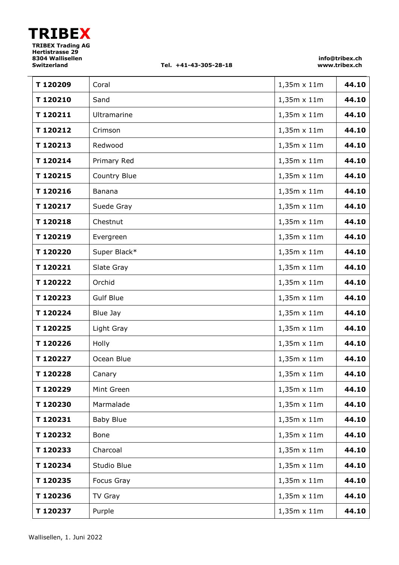#### **Switzerland Tel. +41-43-305-28-18**

**info@tribex.ch www.tribex.ch**

| T120209 | Coral            | $1,35m \times 11m$ | 44.10 |
|---------|------------------|--------------------|-------|
| T120210 | Sand             | $1,35m \times 11m$ | 44.10 |
| T120211 | Ultramarine      | $1,35m \times 11m$ | 44.10 |
| T120212 | Crimson          | 1,35m x 11m        | 44.10 |
| T120213 | Redwood          | 1,35m x 11m        | 44.10 |
| T120214 | Primary Red      | 1,35m x 11m        | 44.10 |
| T120215 | Country Blue     | $1,35m \times 11m$ | 44.10 |
| T120216 | Banana           | $1,35m \times 11m$ | 44.10 |
| T120217 | Suede Gray       | $1,35m \times 11m$ | 44.10 |
| T120218 | Chestnut         | 1,35m x 11m        | 44.10 |
| T120219 | Evergreen        | $1,35m \times 11m$ | 44.10 |
| T120220 | Super Black*     | 1,35m x 11m        | 44.10 |
| T120221 | Slate Gray       | 1,35m x 11m        | 44.10 |
| T120222 | Orchid           | 1,35m x 11m        | 44.10 |
| T120223 | <b>Gulf Blue</b> | $1,35m \times 11m$ | 44.10 |
| T120224 | Blue Jay         | $1,35m \times 11m$ | 44.10 |
| T120225 | Light Gray       | $1,35m \times 11m$ | 44.10 |
| T120226 | Holly            | $1,35m \times 11m$ | 44.10 |
| T120227 | Ocean Blue       | 1,35m x 11m        | 44.10 |
| T120228 | Canary           | 1,35m x 11m        | 44.10 |
| T120229 | Mint Green       | $1,35m \times 11m$ | 44.10 |
| T120230 | Marmalade        | $1,35m \times 11m$ | 44.10 |
| T120231 | <b>Baby Blue</b> | 1,35m x 11m        | 44.10 |
| T120232 | Bone             | $1,35m \times 11m$ | 44.10 |
| T120233 | Charcoal         | $1,35m \times 11m$ | 44.10 |
| T120234 | Studio Blue      | $1,35m \times 11m$ | 44.10 |
| T120235 | Focus Gray       | $1,35m \times 11m$ | 44.10 |
| T120236 | TV Gray          | $1,35m \times 11m$ | 44.10 |
| T120237 | Purple           | $1,35m \times 11m$ | 44.10 |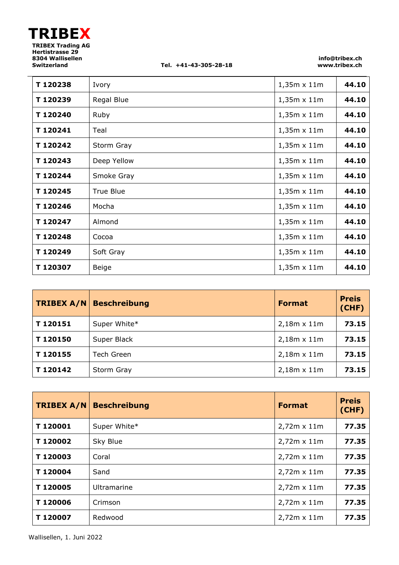**Switzerland Tel. +41-43-305-28-18**

**info@tribex.ch www.tribex.ch**

| T120238  | Ivory            | $1,35m \times 11m$ | 44.10 |
|----------|------------------|--------------------|-------|
| T120239  | Regal Blue       | $1,35m \times 11m$ | 44.10 |
| T120240  | Ruby             | $1,35m \times 11m$ | 44.10 |
| T120241  | Teal             | $1,35m \times 11m$ | 44.10 |
| T120242  | Storm Gray       | $1,35m \times 11m$ | 44.10 |
| T 120243 | Deep Yellow      | $1,35m \times 11m$ | 44.10 |
| T120244  | Smoke Gray       | $1,35m \times 11m$ | 44.10 |
| T120245  | <b>True Blue</b> | $1,35m \times 11m$ | 44.10 |
| T120246  | Mocha            | $1,35m \times 11m$ | 44.10 |
| T120247  | Almond           | $1,35m \times 11m$ | 44.10 |
| T120248  | Cocoa            | $1,35m \times 11m$ | 44.10 |
| T120249  | Soft Gray        | $1,35m \times 11m$ | 44.10 |
| T 120307 | Beige            | $1,35m \times 11m$ | 44.10 |

| <b>TRIBEX A/N</b> | <b>Beschreibung</b> | <b>Format</b>      | <b>Preis</b><br>(CHF) |
|-------------------|---------------------|--------------------|-----------------------|
| T120151           | Super White*        | $2,18m \times 11m$ | 73.15                 |
| T120150           | Super Black         | $2,18m \times 11m$ | 73.15                 |
| T120155           | <b>Tech Green</b>   | $2,18m \times 11m$ | 73.15                 |
| T120142           | Storm Gray          | $2,18m \times 11m$ | 73.15                 |

| <b>TRIBEX A/N</b> | <b>Beschreibung</b> | <b>Format</b>      | <b>Preis</b><br>(CHF) |
|-------------------|---------------------|--------------------|-----------------------|
| T120001           | Super White*        | $2,72m \times 11m$ | 77.35                 |
| T120002           | Sky Blue            | $2,72m \times 11m$ | 77.35                 |
| T120003           | Coral               | $2,72m \times 11m$ | 77.35                 |
| T120004           | Sand                | $2,72m \times 11m$ | 77.35                 |
| T120005           | Ultramarine         | $2,72m \times 11m$ | 77.35                 |
| T120006           | Crimson             | $2,72m \times 11m$ | 77.35                 |
| T120007           | Redwood             | $2,72m \times 11m$ | 77.35                 |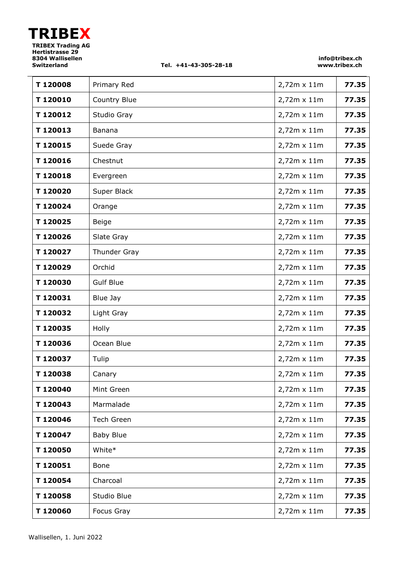#### **Switzerland Tel. +41-43-305-28-18**

**info@tribex.ch www.tribex.ch**

| T120008 | Primary Red       | 2,72m x 11m        | 77.35 |
|---------|-------------------|--------------------|-------|
| T120010 | Country Blue      | 2,72m x 11m        | 77.35 |
| T120012 | Studio Gray       | 2,72m x 11m        | 77.35 |
| T120013 | Banana            | 2,72m x 11m        | 77.35 |
| T120015 | Suede Gray        | 2,72m x 11m        | 77.35 |
| T120016 | Chestnut          | 2,72m x 11m        | 77.35 |
| T120018 | Evergreen         | $2,72m \times 11m$ | 77.35 |
| T120020 | Super Black       | 2,72m x 11m        | 77.35 |
| T120024 | Orange            | 2,72m x 11m        | 77.35 |
| T120025 | Beige             | 2,72m x 11m        | 77.35 |
| T120026 | Slate Gray        | 2,72m x 11m        | 77.35 |
| T120027 | Thunder Gray      | 2,72m x 11m        | 77.35 |
| T120029 | Orchid            | 2,72m x 11m        | 77.35 |
| T120030 | <b>Gulf Blue</b>  | 2,72m x 11m        | 77.35 |
| T120031 | Blue Jay          | 2,72m x 11m        | 77.35 |
| T120032 | Light Gray        | $2,72m \times 11m$ | 77.35 |
| T120035 | Holly             | 2,72m x 11m        | 77.35 |
| T120036 | Ocean Blue        | 2,72m x 11m        | 77.35 |
| T120037 | Tulip             | 2,72m x 11m        | 77.35 |
| T120038 | Canary            | 2,72m x 11m        | 77.35 |
| T120040 | Mint Green        | 2,72m x 11m        | 77.35 |
| T120043 | Marmalade         | 2,72m x 11m        | 77.35 |
| T120046 | <b>Tech Green</b> | 2,72m x 11m        | 77.35 |
| T120047 | <b>Baby Blue</b>  | 2,72m x 11m        | 77.35 |
| T120050 | White*            | 2,72m x 11m        | 77.35 |
| T120051 | Bone              | 2,72m x 11m        | 77.35 |
| T120054 | Charcoal          | 2,72m x 11m        | 77.35 |
| T120058 | Studio Blue       | 2,72m x 11m        | 77.35 |
| T120060 | Focus Gray        | 2,72m x 11m        | 77.35 |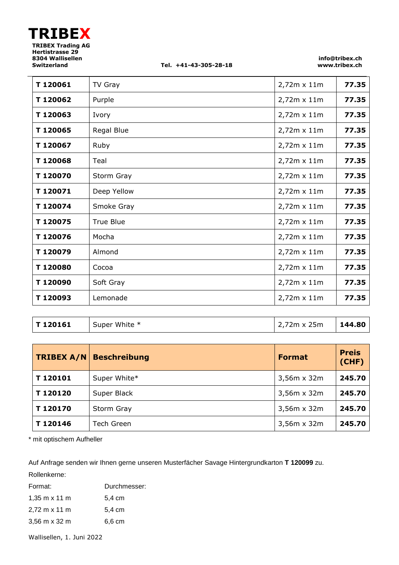$\overline{a}$ 

**Switzerland Tel. +41-43-305-28-18**

**info@tribex.ch www.tribex.ch**

| T120061 | TV Gray          | 2,72m x 11m        | 77.35 |
|---------|------------------|--------------------|-------|
| T120062 | Purple           | 2,72m x 11m        | 77.35 |
| T120063 | Ivory            | 2,72m x 11m        | 77.35 |
| T120065 | Regal Blue       | 2,72m x 11m        | 77.35 |
| T120067 | Ruby             | 2,72m x 11m        | 77.35 |
| T120068 | Teal             | 2,72m x 11m        | 77.35 |
| T120070 | Storm Gray       | 2,72m x 11m        | 77.35 |
| T120071 | Deep Yellow      | 2,72m x 11m        | 77.35 |
| T120074 | Smoke Gray       | 2,72m x 11m        | 77.35 |
| T120075 | <b>True Blue</b> | 2,72m x 11m        | 77.35 |
| T120076 | Mocha            | 2,72m x 11m        | 77.35 |
| T120079 | Almond           | 2,72m x 11m        | 77.35 |
| T120080 | Cocoa            | 2,72m x 11m        | 77.35 |
| T120090 | Soft Gray        | $2,72m \times 11m$ | 77.35 |
| T120093 | Lemonade         | 2,72m x 11m        | 77.35 |

| T 120161 | Super White * | 2,72m x 25m | 144.80 |
|----------|---------------|-------------|--------|
|----------|---------------|-------------|--------|

| <b>TRIBEX A/N</b> | <b>Beschreibung</b> | Format             | <b>Preis</b><br>(CHF) |
|-------------------|---------------------|--------------------|-----------------------|
| T120101           | Super White*        | $3,56m \times 32m$ | 245.70                |
| T120120           | Super Black         | 3,56m x 32m        | 245.70                |
| T120170           | Storm Gray          | $3,56m \times 32m$ | 245.70                |
| T120146           | Tech Green          | $3,56m \times 32m$ | 245.70                |

\* mit optischem Aufheller

Auf Anfrage senden wir Ihnen gerne unseren Musterfächer Savage Hintergrundkarton **T 120099** zu.

Rollenkerne:

| Format:                              | Durchmesser: |
|--------------------------------------|--------------|
| $1,35 \text{ m} \times 11 \text{ m}$ | 5,4 cm       |
| 2,72 m x 11 m                        | 5.4 cm       |
| 3,56 m x 32 m                        | 6.6 cm       |

Wallisellen, 1. Juni 2022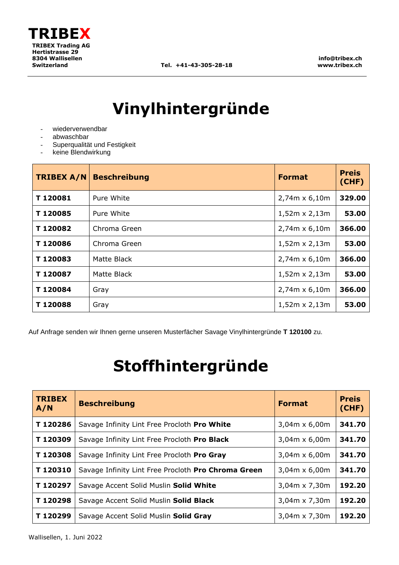

# **Vinylhintergründe**

- wiederverwendbar
- abwaschbar
- Superqualität und Festigkeit
- keine Blendwirkung

| <b>TRIBEX A/N</b> | <b>Beschreibung</b> | <b>Format</b>        | <b>Preis</b><br>(CHF) |
|-------------------|---------------------|----------------------|-----------------------|
| T120081           | Pure White          | 2,74m x 6,10m        | 329.00                |
| T120085           | Pure White          | $1,52m \times 2,13m$ | 53.00                 |
| T120082           | Chroma Green        | $2,74m \times 6,10m$ | 366.00                |
| T120086           | Chroma Green        | $1,52m \times 2,13m$ | 53.00                 |
| T120083           | Matte Black         | $2,74m \times 6,10m$ | 366.00                |
| T120087           | Matte Black         | $1,52m \times 2,13m$ | 53.00                 |
| T120084           | Gray                | $2,74m \times 6,10m$ | 366.00                |
| T120088           | Gray                | $1,52m \times 2,13m$ | 53.00                 |

Auf Anfrage senden wir Ihnen gerne unseren Musterfächer Savage Vinylhintergründe **T 120100** zu.

# **Stoffhintergründe**

| <b>TRIBEX</b><br>A/N | <b>Beschreibung</b>                                 | <b>Format</b>        | <b>Preis</b><br>(CHF) |
|----------------------|-----------------------------------------------------|----------------------|-----------------------|
| T120286              | Savage Infinity Lint Free Procloth Pro White        | $3,04m \times 6,00m$ | 341.70                |
| T120309              | Savage Infinity Lint Free Procloth Pro Black        | $3,04m \times 6,00m$ | 341.70                |
| T120308              | Savage Infinity Lint Free Procloth Pro Gray         | $3,04m \times 6,00m$ | 341.70                |
| T120310              | Savage Infinity Lint Free Procloth Pro Chroma Green | $3,04m \times 6,00m$ | 341.70                |
| T120297              | Savage Accent Solid Muslin Solid White              | $3,04m \times 7,30m$ | 192.20                |
| T120298              | Savage Accent Solid Muslin Solid Black              | 3,04m x 7,30m        | 192.20                |
| T120299              | Savage Accent Solid Muslin Solid Gray               | 3,04m x 7,30m        | 192.20                |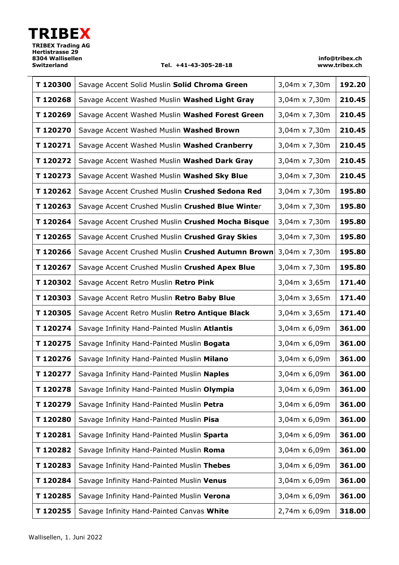#### **Switzerland Tel. +41-43-305-28-18**

| T120300  | Savage Accent Solid Muslin Solid Chroma Green     | 3,04m x 7,30m | 192.20 |
|----------|---------------------------------------------------|---------------|--------|
| T120268  | Savage Accent Washed Muslin Washed Light Gray     | 3,04m x 7,30m | 210.45 |
| T120269  | Savage Accent Washed Muslin Washed Forest Green   | 3,04m x 7,30m | 210.45 |
| T120270  | Savage Accent Washed Muslin Washed Brown          | 3,04m x 7,30m | 210.45 |
| T120271  | Savage Accent Washed Muslin Washed Cranberry      | 3,04m x 7,30m | 210.45 |
| T120272  | Savage Accent Washed Muslin Washed Dark Gray      | 3,04m x 7,30m | 210.45 |
| T120273  | Savage Accent Washed Muslin Washed Sky Blue       | 3,04m x 7,30m | 210.45 |
| T120262  | Savage Accent Crushed Muslin Crushed Sedona Red   | 3,04m x 7,30m | 195.80 |
| T120263  | Savage Accent Crushed Muslin Crushed Blue Winter  | 3,04m x 7,30m | 195.80 |
| T120264  | Savage Accent Crushed Muslin Crushed Mocha Bisque | 3,04m x 7,30m | 195.80 |
| T120265  | Savage Accent Crushed Muslin Crushed Gray Skies   | 3,04m x 7,30m | 195.80 |
| T120266  | Savage Accent Crushed Muslin Crushed Autumn Brown | 3,04m x 7,30m | 195.80 |
| T120267  | Savage Accent Crushed Muslin Crushed Apex Blue    | 3,04m x 7,30m | 195.80 |
| T120302  | Savage Accent Retro Muslin Retro Pink             | 3,04m x 3,65m | 171.40 |
| T120303  | Savage Accent Retro Muslin Retro Baby Blue        | 3,04m x 3,65m | 171.40 |
| T120305  | Savage Accent Retro Muslin Retro Antique Black    | 3,04m x 3,65m | 171.40 |
| T120274  | Savage Infinity Hand-Painted Muslin Atlantis      | 3,04m x 6,09m | 361.00 |
| T120275  | Savage Infinity Hand-Painted Muslin Bogata        | 3,04m x 6,09m | 361.00 |
| T120276  | Savage Infinity Hand-Painted Muslin Milano        | 3,04m x 6,09m | 361.00 |
| T 120277 | Savaga Infinity Hand-Painted Muslin Naples        | 3,04m x 6,09m | 361.00 |
| T120278  | Savage Infinity Hand-Painted Muslin Olympia       | 3,04m x 6,09m | 361.00 |
| T120279  | Savage Infinity Hand-Painted Muslin Petra         | 3,04m x 6,09m | 361.00 |
| T120280  | Savage Infinity Hand-Painted Muslin Pisa          | 3,04m x 6,09m | 361.00 |
| T120281  | Savage Infinity Hand-Painted Muslin Sparta        | 3,04m x 6,09m | 361.00 |
| T120282  | Savage Infinity Hand-Painted Muslin Roma          | 3,04m x 6,09m | 361.00 |
| T120283  | Savage Infinity Hand-Painted Muslin Thebes        | 3,04m x 6,09m | 361.00 |
| T120284  | Savage Infinity Hand-Painted Muslin Venus         | 3,04m x 6,09m | 361.00 |
| T120285  | Savage Infinity Hand-Painted Muslin Verona        | 3,04m x 6,09m | 361.00 |
| T120255  | Savage Infinity Hand-Painted Canvas White         | 2,74m x 6,09m | 318.00 |
|          |                                                   |               |        |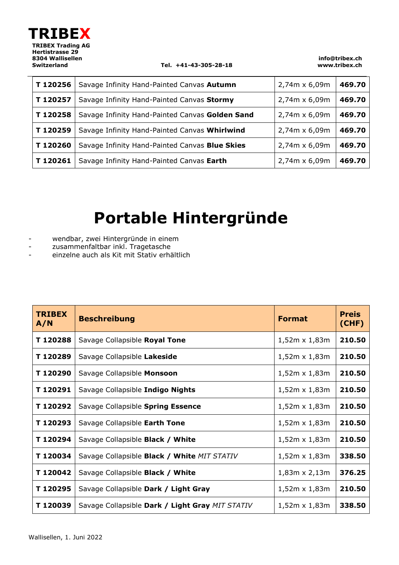

J.

**Switzerland Tel. +41-43-305-28-18**

**info@tribex.ch www.tribex.ch**

| T120256 | Savage Infinity Hand-Painted Canvas Autumn      | 2,74m x 6,09m | 469.70 |
|---------|-------------------------------------------------|---------------|--------|
| T120257 | Savage Infinity Hand-Painted Canvas Stormy      | 2,74m x 6,09m | 469.70 |
| T120258 | Savage Infinity Hand-Painted Canvas Golden Sand | 2,74m x 6,09m | 469.70 |
| T120259 | Savage Infinity Hand-Painted Canvas Whirlwind   | 2,74m x 6,09m | 469.70 |
| T120260 | Savage Infinity Hand-Painted Canvas Blue Skies  | 2,74m x 6,09m | 469.70 |
| T120261 | Savage Infinity Hand-Painted Canvas Earth       | 2,74m x 6,09m | 469.70 |

## **Portable Hintergründe**

- wendbar, zwei Hintergründe in einem
- zusammenfaltbar inkl. Tragetasche
- einzelne auch als Kit mit Stativ erhältlich

| <b>TRIBEX</b><br>A/N | <b>Beschreibung</b>                             | <b>Format</b>        | <b>Preis</b><br>(CHF) |
|----------------------|-------------------------------------------------|----------------------|-----------------------|
| T120288              | Savage Collapsible Royal Tone                   | $1,52m \times 1,83m$ | 210.50                |
| T 120289             | Savage Collapsible Lakeside                     | $1,52m \times 1,83m$ | 210.50                |
| T 120290             | Savage Collapsible Monsoon                      | $1,52m \times 1,83m$ | 210.50                |
| T 120291             | Savage Collapsible Indigo Nights                | $1,52m \times 1,83m$ | 210.50                |
| T 120292             | Savage Collapsible Spring Essence               | $1,52m \times 1,83m$ | 210.50                |
| T 120293             | Savage Collapsible Earth Tone                   | $1,52m \times 1,83m$ | 210.50                |
| T 120294             | Savage Collapsible Black / White                | $1,52m \times 1,83m$ | 210.50                |
| T120034              | Savage Collapsible Black / White MIT STATIV     | $1,52m \times 1,83m$ | 338.50                |
| T120042              | Savage Collapsible Black / White                | $1,83m \times 2,13m$ | 376.25                |
| T 120295             | Savage Collapsible Dark / Light Gray            | $1,52m \times 1,83m$ | 210.50                |
| T 120039             | Savage Collapsible Dark / Light Gray MIT STATIV | $1,52m \times 1,83m$ | 338.50                |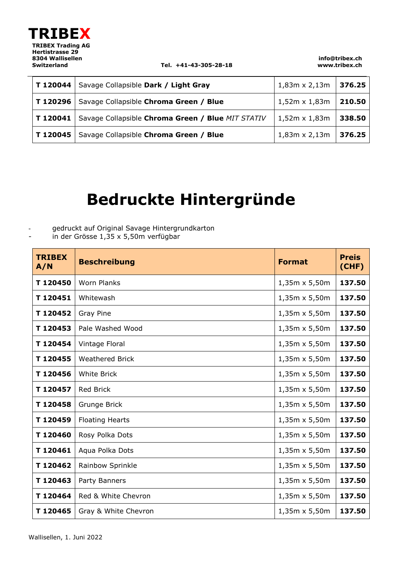

j.

#### **Switzerland Tel. +41-43-305-28-18**

**info@tribex.ch www.tribex.ch**

| T 120044 | Savage Collapsible Dark / Light Gray              | 1,83m x 2,13m        | 376.25 |
|----------|---------------------------------------------------|----------------------|--------|
| T 120296 | Savage Collapsible Chroma Green / Blue            | $1,52m \times 1,83m$ | 210.50 |
| T 120041 | Savage Collapsible Chroma Green / Blue MIT STATIV | $1,52m \times 1,83m$ | 338.50 |
| T 120045 | Savage Collapsible Chroma Green / Blue            | $1,83m \times 2,13m$ | 376.25 |

### **Bedruckte Hintergründe**

- gedruckt auf Original Savage Hintergrundkarton

- in der Grösse 1,35 x 5,50m verfügbar

| <b>TRIBEX</b><br>A/N | <b>Beschreibung</b>    | <b>Format</b>        | <b>Preis</b><br>(CHF) |
|----------------------|------------------------|----------------------|-----------------------|
| T120450              | <b>Worn Planks</b>     | 1,35m x 5,50m        | 137.50                |
| T120451              | Whitewash              | $1,35m \times 5,50m$ | 137.50                |
| T120452              | <b>Gray Pine</b>       | 1,35m x 5,50m        | 137.50                |
| T120453              | Pale Washed Wood       | $1,35m \times 5,50m$ | 137.50                |
| T120454              | Vintage Floral         | $1,35m \times 5,50m$ | 137.50                |
| T120455              | <b>Weathered Brick</b> | $1,35m \times 5,50m$ | 137.50                |
| T120456              | <b>White Brick</b>     | 1,35m x 5,50m        | 137.50                |
| T120457              | <b>Red Brick</b>       | 1,35m x 5,50m        | 137.50                |
| T120458              | Grunge Brick           | 1,35m x 5,50m        | 137.50                |
| T120459              | <b>Floating Hearts</b> | 1,35m x 5,50m        | 137.50                |
| T120460              | Rosy Polka Dots        | $1,35m \times 5,50m$ | 137.50                |
| T120461              | Aqua Polka Dots        | 1,35m x 5,50m        | 137.50                |
| T120462              | Rainbow Sprinkle       | $1,35m \times 5,50m$ | 137.50                |
| T120463              | Party Banners          | $1,35m \times 5,50m$ | 137.50                |
| T120464              | Red & White Chevron    | $1,35m \times 5,50m$ | 137.50                |
| T120465              | Gray & White Chevron   | $1,35m \times 5,50m$ | 137.50                |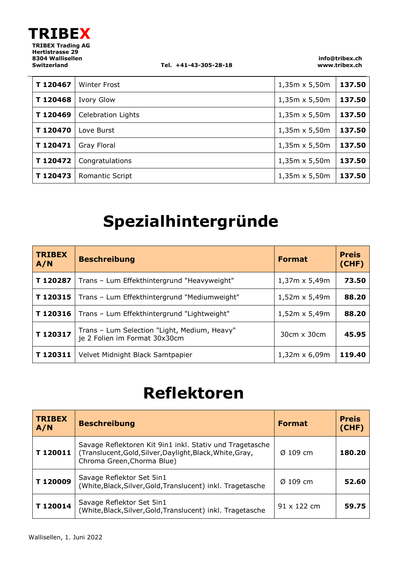

 $\overline{a}$ 

**Switzerland Tel. +41-43-305-28-18**

**info@tribex.ch www.tribex.ch**

| T120467  | <b>Winter Frost</b>       | $1,35m \times 5,50m$ | 137.50 |
|----------|---------------------------|----------------------|--------|
| T120468  | <b>Ivory Glow</b>         | $1,35m \times 5,50m$ | 137.50 |
| T120469  | <b>Celebration Lights</b> | $1,35m \times 5,50m$ | 137.50 |
| T120470  | Love Burst                | $1,35m \times 5,50m$ | 137.50 |
| T120471  | Gray Floral               | $1,35m \times 5,50m$ | 137.50 |
| T120472  | Congratulations           | $1,35m \times 5,50m$ | 137.50 |
| T 120473 | <b>Romantic Script</b>    | $1,35m \times 5,50m$ | 137.50 |

# **Spezialhintergründe**

| <b>TRIBEX</b><br>A/N | <b>Beschreibung</b>                                                           | <b>Format</b>        | <b>Preis</b><br>(CHF) |
|----------------------|-------------------------------------------------------------------------------|----------------------|-----------------------|
| T120287              | Trans - Lum Effekthintergrund "Heavyweight"                                   | $1,37m \times 5,49m$ | 73.50                 |
| T120315              | Trans - Lum Effekthintergrund "Mediumweight"                                  | $1,52m \times 5,49m$ | 88.20                 |
| T120316              | Trans - Lum Effekthintergrund "Lightweight"                                   | $1,52m \times 5,49m$ | 88.20                 |
| T120317              | Trans - Lum Selection "Light, Medium, Heavy"<br>je 2 Folien im Format 30x30cm | 30cm x 30cm          | 45.95                 |
| T120311              | Velvet Midnight Black Samtpapier                                              | $1,32m \times 6,09m$ | 119.40                |

### **Reflektoren**

| <b>TRIBEX</b><br>A/N | <b>Beschreibung</b>                                                                                                                                 | <b>Format</b>        | <b>Preis</b><br>(CHF) |
|----------------------|-----------------------------------------------------------------------------------------------------------------------------------------------------|----------------------|-----------------------|
| T120011              | Savage Reflektoren Kit 9in1 inkl. Stativ und Tragetasche<br>(Translucent, Gold, Silver, Daylight, Black, White, Gray,<br>Chroma Green, Chorma Blue) | $\varnothing$ 109 cm | 180.20                |
| T120009              | Savage Reflektor Set 5in1<br>(White, Black, Silver, Gold, Translucent) inkl. Tragetasche                                                            | $\varnothing$ 109 cm | 52.60                 |
| T120014              | Savage Reflektor Set 5in1<br>(White,Black,Silver,Gold,Translucent) inkl. Tragetasche                                                                | $91 \times 122$ cm   | 59.75                 |